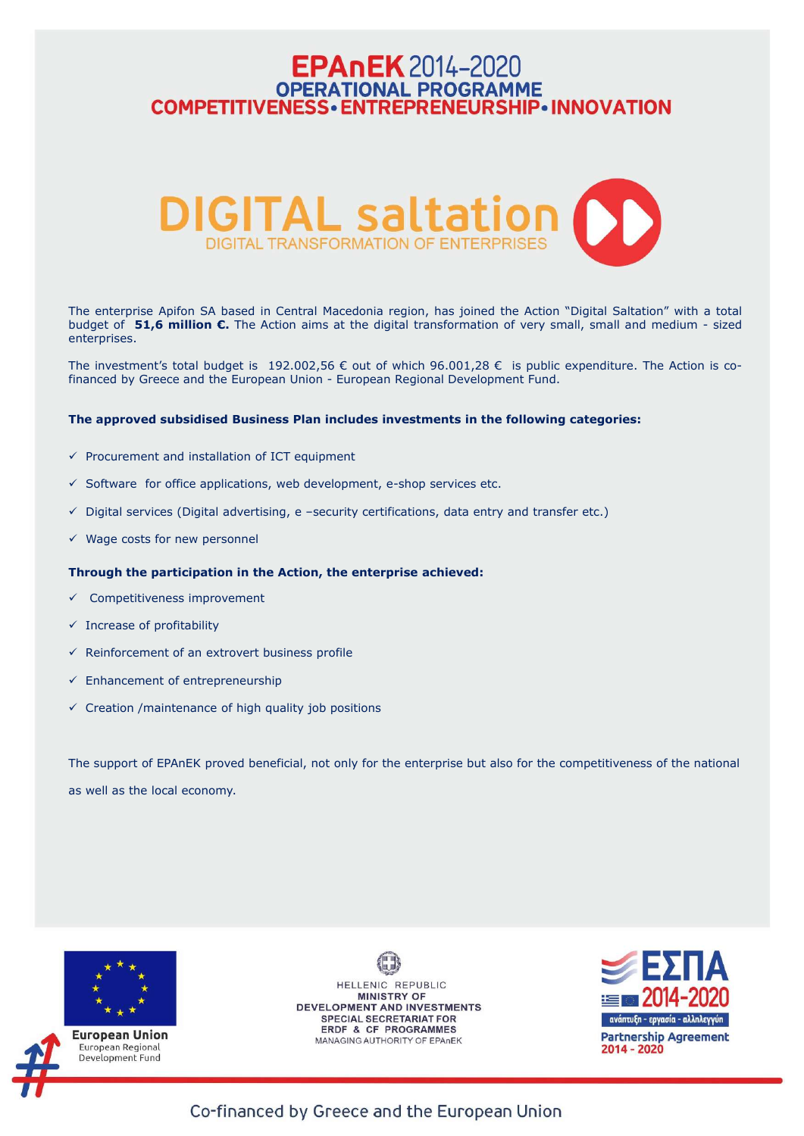# **EPAnEK** 2014-2020 OPERATIONAL PROGRAMME<br>COMPETITIVENESS • ENTREPRENEURSHIP • INNOVATION



The enterprise Apifon SA based in Central Macedonia region, has joined the Action "Digital Saltation" with a total budget of **51,6 million €.** The Action aims at the digital transformation of very small, small and medium - sized enterprises.

- ✓ Procurement and installation of ICT equipment
- $\checkmark$  Software for office applications, web development, e-shop services etc.
- $\checkmark$  Digital services (Digital advertising, e -security certifications, data entry and transfer etc.)
- $\checkmark$  Wage costs for new personnel

The investment's total budget is 192.002,56 € out of which 96.001,28 € is public expenditure. The Action is cofinanced by Greece and the European Union - European Regional Development Fund.

- ✓ Competitiveness improvement
- ✓ Increase of profitability
- $\checkmark$  Reinforcement of an extrovert business profile
- $\checkmark$  Enhancement of entrepreneurship
- $\checkmark$  Creation /maintenance of high quality job positions

## **The approved subsidised Business Plan includes investments in the following categories:**

## **Through the participation in the Action, the enterprise achieved:**

The support of EPAnEK proved beneficial, not only for the enterprise but also for the competitiveness of the national as well as the local economy.





European Union European Regional Development Fund

HELLENIC REPUBLIC **MINISTRY OF** DEVELOPMENT AND INVESTMENTS **SPECIAL SECRETARIAT FOR ERDF & CF PROGRAMMES** MANAGING AUTHORITY OF EPAnEK



Co-financed by Greece and the European Union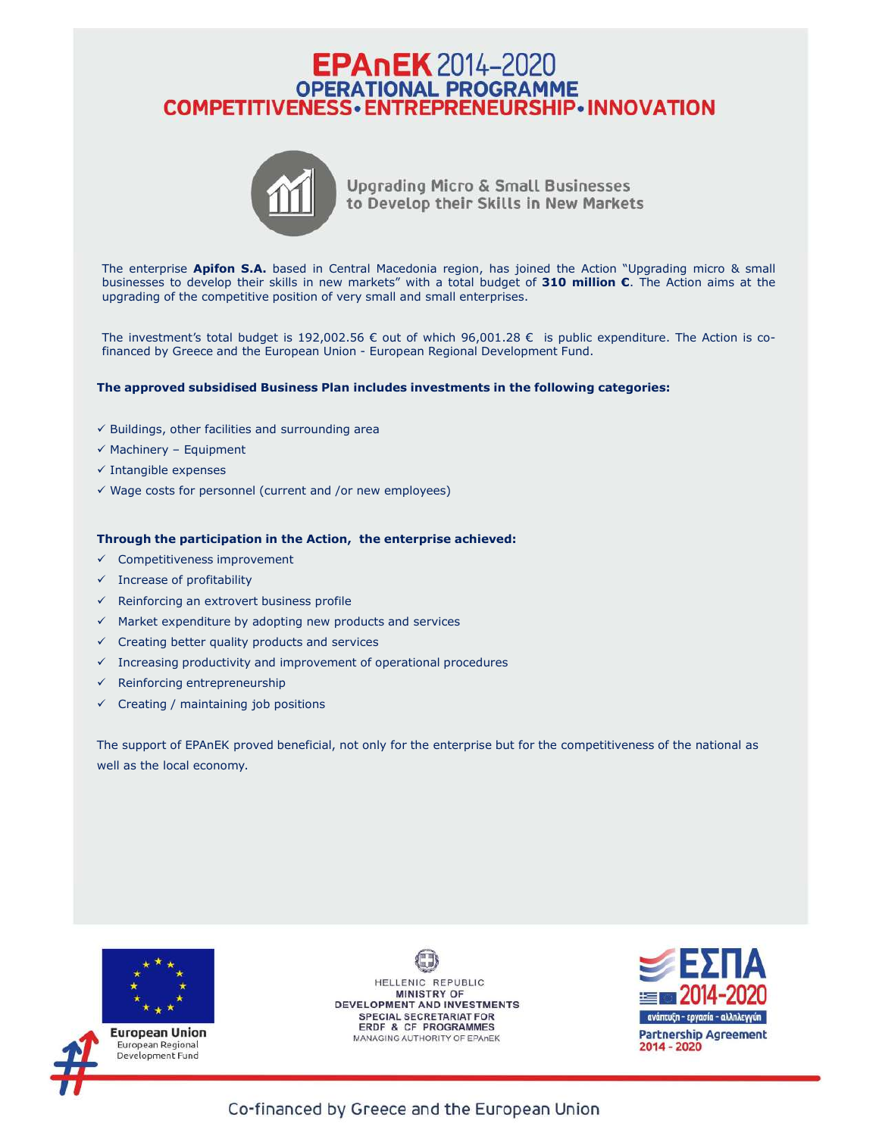# **COMPETITIVENESS-ENTREPRENEURSHIP-INNOVATION<br>COMPETITIVENESS-ENTREPRENEURSHIP-INNOVATION<br>Upgrading Micro & Small Businesses<br>to Develop their Skills in New Markets<br>The enterprise Apifon S.A. based in Central Macedonia regi EPANEK** 2014–2020<br> **COMPETITIVENESS - ENTREPRENEURSHIP - INNOVATION<br>
Upgrading Micro & Small Businesses<br>
The enterprise Api<b>fon S.A.** based in Central Macedonia region, has joined the Action "Upgrading micro & small<br>
bus **COMPETITIVENESS • ENTREPRENEURSHIP • INNOVATION<br>
COMPETITIVENESS • ENTREPRENEURSHIP • INNOVATION<br>
Upgrading Micro & Small Businesses<br>
The enterprise Apifon S.A. based in Central Macedonia region, has joined the Action "Up COMPETITIVENESS • ENTREPRENEURSHIP • INNOVATION<br>COMPETITIVENESS • ENTREPRENEURSHIP • INNOVATION<br>The enterprise Apifon S.A. based in Central Macedonia region, has joined the Action "Upgrading micro & small<br>usuarisesses to EPANEK** 2014–2020<br> **COMPETITIVENESS • ENTREPRENEURSHIP • INNOVATION<br>
Upgrading Micro & Small Businesses<br>
to Develop their Skills in New Markets<br>
The enterprise Apifon S.A. based in Central Macedonia region, has joined the EPANEK** 2014-2020<br> **COMPETITIVENESS • ENTREPRENEURSHIP • INNOVATION<br>
The enterprise Apifon S.A. based in Central Macedonia region. Inse Joined the Action "Upgrading micro & small<br>
businesses to develop their Skills in Ne COMPETITIVENESS • ENTREPRENEURSHIP • INNOV.**<br> **COMPETITIVENESS • ENTREPRENEURSHIP • INNOV.**<br>
Upgrading Micro & Small Businesses<br>
The enterprise **Apifon S.A.** based in Central Macedonia region, has joined the Action "Upgra



- $\checkmark$  Buildings, other facilities and surrounding area
- 
- $\checkmark$  Intangible expenses
- $\checkmark$  Wage costs for personnel (current and /or new employees)

#### Through the participation in the Action, the enterprise achieved:

- $\checkmark$  Competitiveness improvement
- $\checkmark$  Increase of profitability
- $\checkmark$  Reinforcing an extrovert business profile
- $\checkmark$  Market expenditure by adopting new products and services
- $\checkmark$  Creating better quality products and services
- $\checkmark$  Increasing productivity and improvement of operational procedures
- $\checkmark$  Reinforcing entrepreneurship
- $\checkmark$  Creating / maintaining job positions

The approved subsidised Business Plan includes investments in the following categories:<br>
V Machinery – Equipment<br>
V Machinery – Equipment<br>
V Intangible expenses<br>
V Wage costs for personnel (current and /or new employees)<br> well as the local economy.



**HELLENIC REPUBLIC MINISTRY OF** DEVELOPMENT AND INVESTMENTS **SPECIAL SECRETARIAT FOR** ERDF & CF PROGRAMMES MANAGING AUTHORITY OF EPANEK



Co-financed by Greece and the European Union